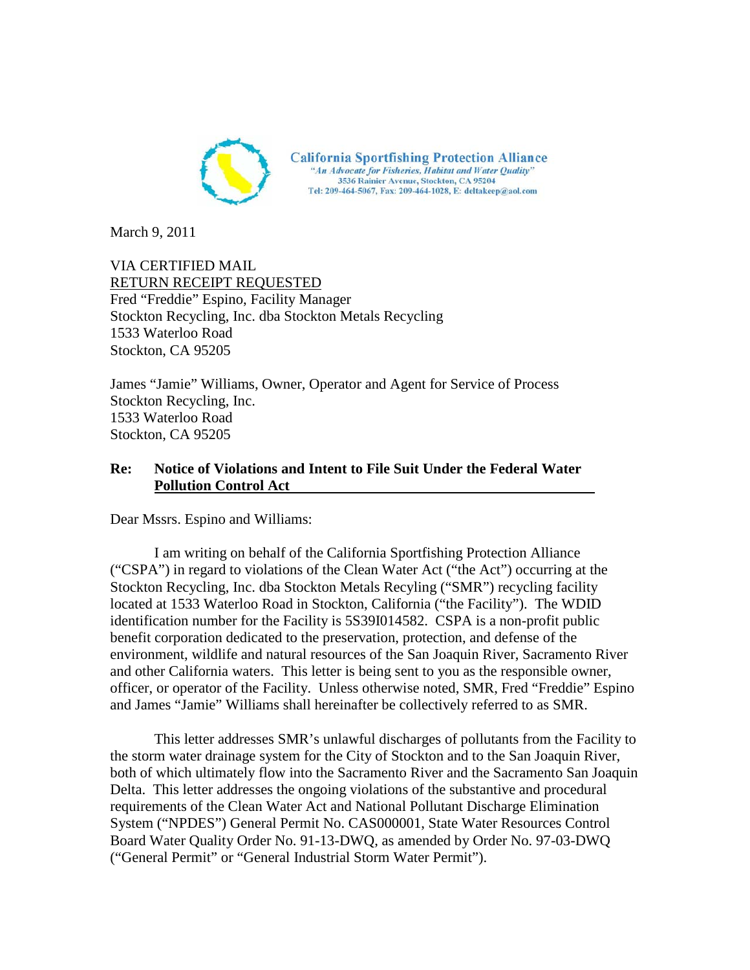

March 9, 2011

VIA CERTIFIED MAIL RETURN RECEIPT REQUESTED Fred "Freddie" Espino, Facility Manager Stockton Recycling, Inc. dba Stockton Metals Recycling 1533 Waterloo Road Stockton, CA 95205

James "Jamie" Williams, Owner, Operator and Agent for Service of Process Stockton Recycling, Inc. 1533 Waterloo Road Stockton, CA 95205

### **Re: Notice of Violations and Intent to File Suit Under the Federal Water Pollution Control Act**

Dear Mssrs. Espino and Williams:

I am writing on behalf of the California Sportfishing Protection Alliance ("CSPA") in regard to violations of the Clean Water Act ("the Act") occurring at the Stockton Recycling, Inc. dba Stockton Metals Recyling ("SMR") recycling facility located at 1533 Waterloo Road in Stockton, California ("the Facility"). The WDID identification number for the Facility is 5S39I014582. CSPA is a non-profit public benefit corporation dedicated to the preservation, protection, and defense of the environment, wildlife and natural resources of the San Joaquin River, Sacramento River and other California waters. This letter is being sent to you as the responsible owner, officer, or operator of the Facility. Unless otherwise noted, SMR, Fred "Freddie" Espino and James "Jamie" Williams shall hereinafter be collectively referred to as SMR.

This letter addresses SMR's unlawful discharges of pollutants from the Facility to the storm water drainage system for the City of Stockton and to the San Joaquin River, both of which ultimately flow into the Sacramento River and the Sacramento San Joaquin Delta. This letter addresses the ongoing violations of the substantive and procedural requirements of the Clean Water Act and National Pollutant Discharge Elimination System ("NPDES") General Permit No. CAS000001, State Water Resources Control Board Water Quality Order No. 91-13-DWQ, as amended by Order No. 97-03-DWQ ("General Permit" or "General Industrial Storm Water Permit").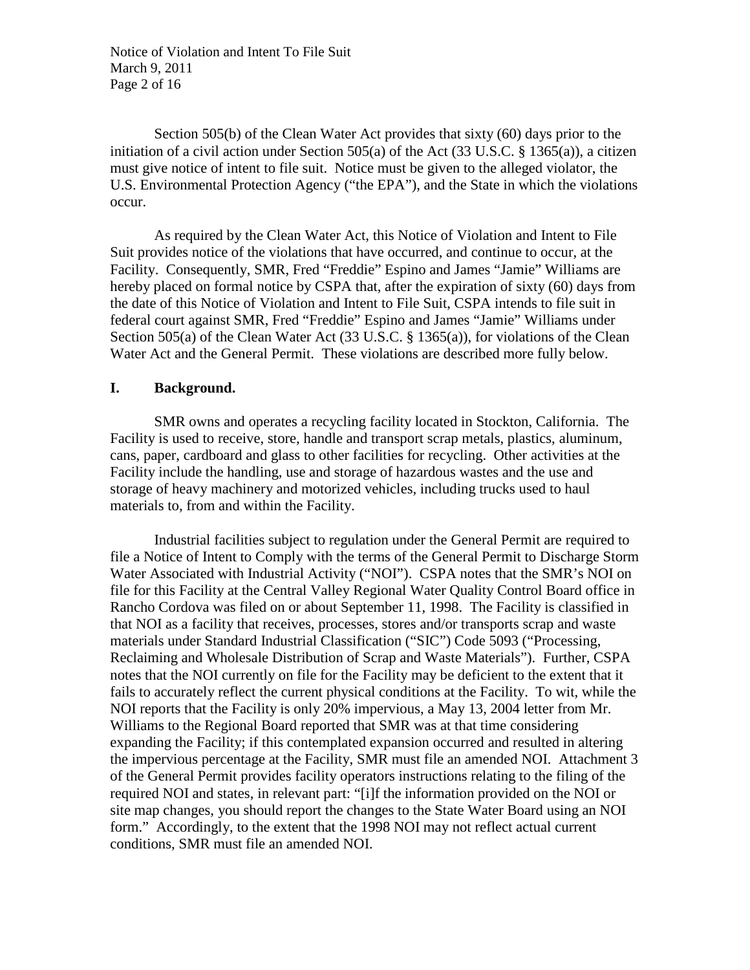Notice of Violation and Intent To File Suit March 9, 2011 Page 2 of 16

Section 505(b) of the Clean Water Act provides that sixty (60) days prior to the initiation of a civil action under Section 505(a) of the Act (33 U.S.C. § 1365(a)), a citizen must give notice of intent to file suit. Notice must be given to the alleged violator, the U.S. Environmental Protection Agency ("the EPA"), and the State in which the violations occur.

As required by the Clean Water Act, this Notice of Violation and Intent to File Suit provides notice of the violations that have occurred, and continue to occur, at the Facility. Consequently, SMR, Fred "Freddie" Espino and James "Jamie" Williams are hereby placed on formal notice by CSPA that, after the expiration of sixty (60) days from the date of this Notice of Violation and Intent to File Suit, CSPA intends to file suit in federal court against SMR, Fred "Freddie" Espino and James "Jamie" Williams under Section 505(a) of the Clean Water Act (33 U.S.C. § 1365(a)), for violations of the Clean Water Act and the General Permit. These violations are described more fully below.

### **I. Background.**

SMR owns and operates a recycling facility located in Stockton, California. The Facility is used to receive, store, handle and transport scrap metals, plastics, aluminum, cans, paper, cardboard and glass to other facilities for recycling. Other activities at the Facility include the handling, use and storage of hazardous wastes and the use and storage of heavy machinery and motorized vehicles, including trucks used to haul materials to, from and within the Facility.

Industrial facilities subject to regulation under the General Permit are required to file a Notice of Intent to Comply with the terms of the General Permit to Discharge Storm Water Associated with Industrial Activity ("NOI"). CSPA notes that the SMR's NOI on file for this Facility at the Central Valley Regional Water Quality Control Board office in Rancho Cordova was filed on or about September 11, 1998. The Facility is classified in that NOI as a facility that receives, processes, stores and/or transports scrap and waste materials under Standard Industrial Classification ("SIC") Code 5093 ("Processing, Reclaiming and Wholesale Distribution of Scrap and Waste Materials"). Further, CSPA notes that the NOI currently on file for the Facility may be deficient to the extent that it fails to accurately reflect the current physical conditions at the Facility. To wit, while the NOI reports that the Facility is only 20% impervious, a May 13, 2004 letter from Mr. Williams to the Regional Board reported that SMR was at that time considering expanding the Facility; if this contemplated expansion occurred and resulted in altering the impervious percentage at the Facility, SMR must file an amended NOI. Attachment 3 of the General Permit provides facility operators instructions relating to the filing of the required NOI and states, in relevant part: "[i]f the information provided on the NOI or site map changes, you should report the changes to the State Water Board using an NOI form." Accordingly, to the extent that the 1998 NOI may not reflect actual current conditions, SMR must file an amended NOI.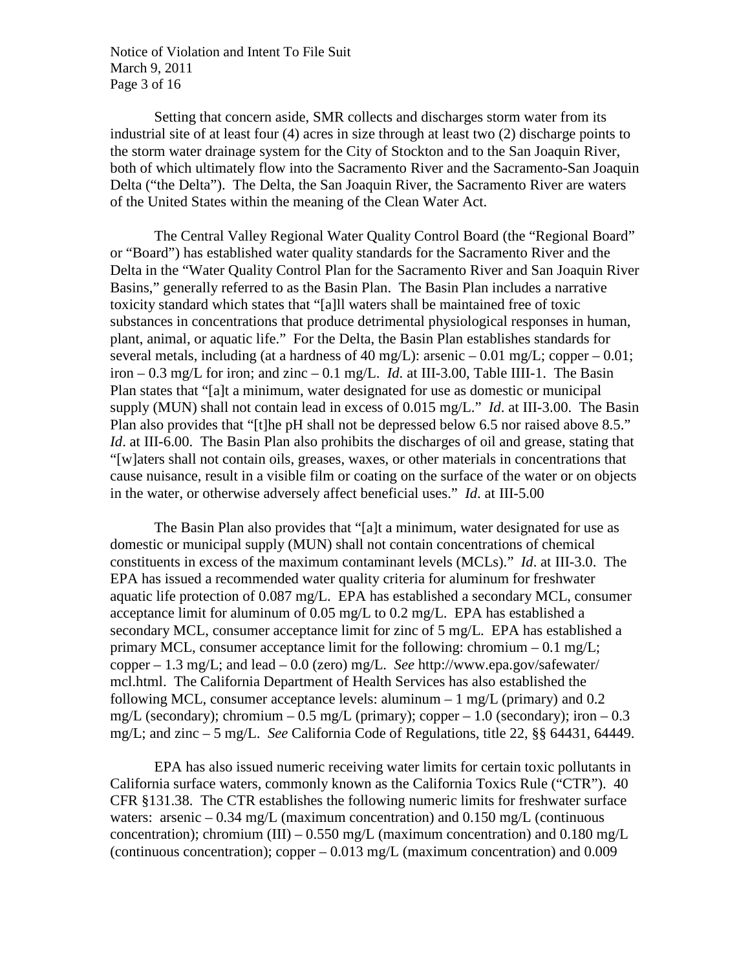Notice of Violation and Intent To File Suit March 9, 2011 Page 3 of 16

Setting that concern aside, SMR collects and discharges storm water from its industrial site of at least four (4) acres in size through at least two (2) discharge points to the storm water drainage system for the City of Stockton and to the San Joaquin River, both of which ultimately flow into the Sacramento River and the Sacramento-San Joaquin Delta ("the Delta"). The Delta, the San Joaquin River, the Sacramento River are waters of the United States within the meaning of the Clean Water Act.

The Central Valley Regional Water Quality Control Board (the "Regional Board" or "Board") has established water quality standards for the Sacramento River and the Delta in the "Water Quality Control Plan for the Sacramento River and San Joaquin River Basins," generally referred to as the Basin Plan. The Basin Plan includes a narrative toxicity standard which states that "[a]ll waters shall be maintained free of toxic substances in concentrations that produce detrimental physiological responses in human, plant, animal, or aquatic life." For the Delta, the Basin Plan establishes standards for several metals, including (at a hardness of 40 mg/L): arsenic  $-0.01$  mg/L; copper  $-0.01$ ; iron  $-0.3$  mg/L for iron; and zinc  $-0.1$  mg/L. *Id.* at III-3.00, Table IIII-1. The Basin Plan states that "[a]t a minimum, water designated for use as domestic or municipal supply (MUN) shall not contain lead in excess of 0.015 mg/L." *Id*. at III-3.00. The Basin Plan also provides that "[t]he pH shall not be depressed below 6.5 nor raised above 8.5." *Id*. at III-6.00. The Basin Plan also prohibits the discharges of oil and grease, stating that "[w]aters shall not contain oils, greases, waxes, or other materials in concentrations that cause nuisance, result in a visible film or coating on the surface of the water or on objects in the water, or otherwise adversely affect beneficial uses." *Id*. at III-5.00

The Basin Plan also provides that "[a]t a minimum, water designated for use as domestic or municipal supply (MUN) shall not contain concentrations of chemical constituents in excess of the maximum contaminant levels (MCLs)." *Id*. at III-3.0. The EPA has issued a recommended water quality criteria for aluminum for freshwater aquatic life protection of 0.087 mg/L. EPA has established a secondary MCL, consumer acceptance limit for aluminum of 0.05 mg/L to 0.2 mg/L. EPA has established a secondary MCL, consumer acceptance limit for zinc of 5 mg/L. EPA has established a primary MCL, consumer acceptance limit for the following: chromium  $-0.1 \text{ mg/L}$ ; copper – 1.3 mg/L; and lead – 0.0 (zero) mg/L. *See* http://www.epa.gov/safewater/ mcl.html. The California Department of Health Services has also established the following MCL, consumer acceptance levels: aluminum  $-1$  mg/L (primary) and 0.2 mg/L (secondary); chromium – 0.5 mg/L (primary); copper – 1.0 (secondary); iron – 0.3 mg/L; and zinc – 5 mg/L. *See* California Code of Regulations, title 22, §§ 64431, 64449.

EPA has also issued numeric receiving water limits for certain toxic pollutants in California surface waters, commonly known as the California Toxics Rule ("CTR"). 40 CFR §131.38. The CTR establishes the following numeric limits for freshwater surface waters: arsenic  $-0.34$  mg/L (maximum concentration) and  $0.150$  mg/L (continuous concentration); chromium (III) – 0.550 mg/L (maximum concentration) and 0.180 mg/L (continuous concentration); copper – 0.013 mg/L (maximum concentration) and 0.009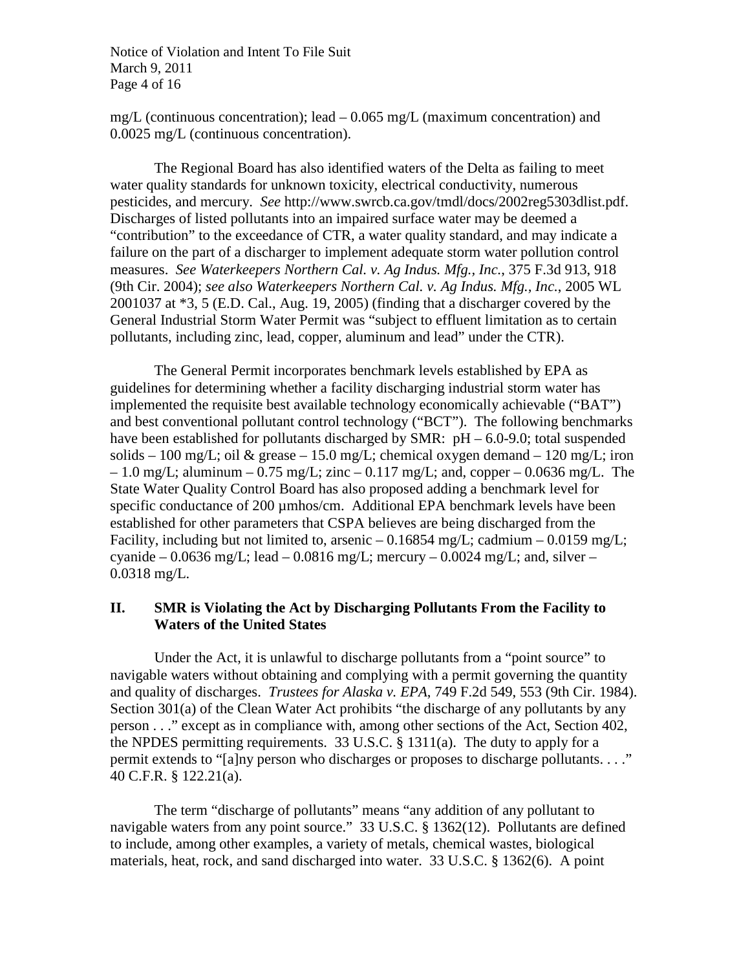Notice of Violation and Intent To File Suit March 9, 2011 Page 4 of 16

mg/L (continuous concentration); lead  $-0.065$  mg/L (maximum concentration) and 0.0025 mg/L (continuous concentration).

The Regional Board has also identified waters of the Delta as failing to meet water quality standards for unknown toxicity, electrical conductivity, numerous pesticides, and mercury. *See* http://www.swrcb.ca.gov/tmdl/docs/2002reg5303dlist.pdf. Discharges of listed pollutants into an impaired surface water may be deemed a "contribution" to the exceedance of CTR, a water quality standard, and may indicate a failure on the part of a discharger to implement adequate storm water pollution control measures. *See Waterkeepers Northern Cal. v. Ag Indus. Mfg., Inc.*, 375 F.3d 913, 918 (9th Cir. 2004); *see also Waterkeepers Northern Cal. v. Ag Indus. Mfg., Inc.*, 2005 WL 2001037 at \*3, 5 (E.D. Cal., Aug. 19, 2005) (finding that a discharger covered by the General Industrial Storm Water Permit was "subject to effluent limitation as to certain pollutants, including zinc, lead, copper, aluminum and lead" under the CTR).

The General Permit incorporates benchmark levels established by EPA as guidelines for determining whether a facility discharging industrial storm water has implemented the requisite best available technology economically achievable ("BAT") and best conventional pollutant control technology ("BCT"). The following benchmarks have been established for pollutants discharged by SMR: pH – 6.0-9.0; total suspended solids – 100 mg/L; oil & grease – 15.0 mg/L; chemical oxygen demand – 120 mg/L; iron  $-1.0$  mg/L; aluminum  $-0.75$  mg/L; zinc  $-0.117$  mg/L; and, copper  $-0.0636$  mg/L. The State Water Quality Control Board has also proposed adding a benchmark level for specific conductance of 200 µmhos/cm. Additional EPA benchmark levels have been established for other parameters that CSPA believes are being discharged from the Facility, including but not limited to, arsenic  $-0.16854$  mg/L; cadmium  $-0.0159$  mg/L; cyanide – 0.0636 mg/L; lead – 0.0816 mg/L; mercury – 0.0024 mg/L; and, silver – 0.0318 mg/L.

### **II. SMR is Violating the Act by Discharging Pollutants From the Facility to Waters of the United States**

Under the Act, it is unlawful to discharge pollutants from a "point source" to navigable waters without obtaining and complying with a permit governing the quantity and quality of discharges. *Trustees for Alaska v. EPA*, 749 F.2d 549, 553 (9th Cir. 1984). Section 301(a) of the Clean Water Act prohibits "the discharge of any pollutants by any person . . ." except as in compliance with, among other sections of the Act, Section 402, the NPDES permitting requirements. 33 U.S.C. § 1311(a). The duty to apply for a permit extends to "[a]ny person who discharges or proposes to discharge pollutants. . . ." 40 C.F.R. § 122.21(a).

The term "discharge of pollutants" means "any addition of any pollutant to navigable waters from any point source." 33 U.S.C. § 1362(12). Pollutants are defined to include, among other examples, a variety of metals, chemical wastes, biological materials, heat, rock, and sand discharged into water. 33 U.S.C. § 1362(6). A point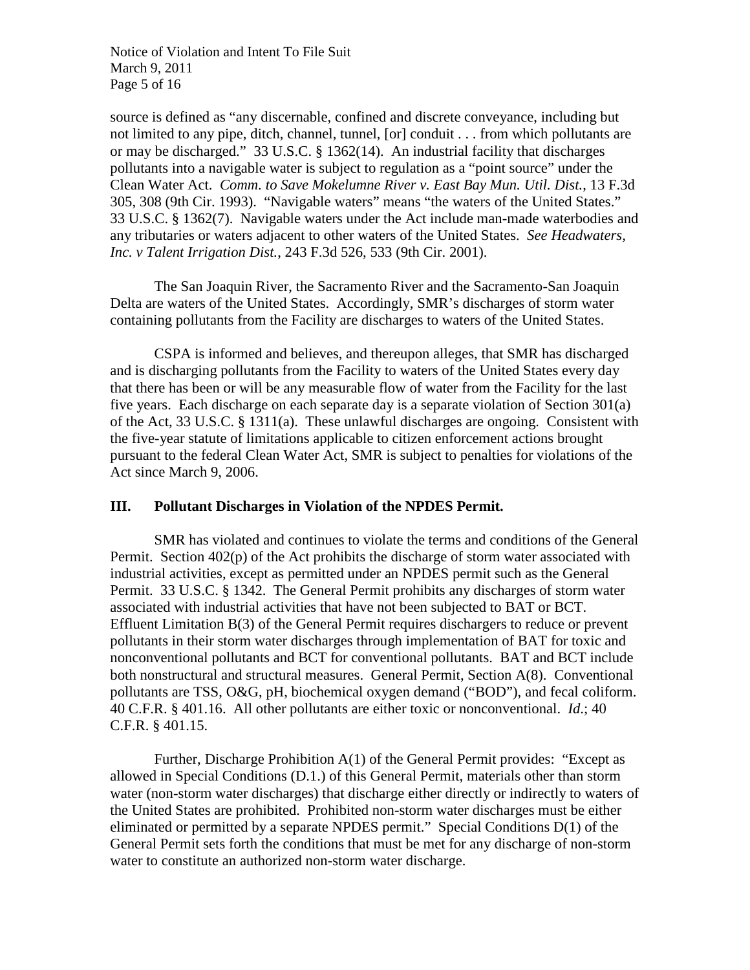Notice of Violation and Intent To File Suit March 9, 2011 Page 5 of 16

source is defined as "any discernable, confined and discrete conveyance, including but not limited to any pipe, ditch, channel, tunnel, [or] conduit . . . from which pollutants are or may be discharged." 33 U.S.C. § 1362(14). An industrial facility that discharges pollutants into a navigable water is subject to regulation as a "point source" under the Clean Water Act. *Comm. to Save Mokelumne River v. East Bay Mun. Util. Dist.*, 13 F.3d 305, 308 (9th Cir. 1993). "Navigable waters" means "the waters of the United States." 33 U.S.C. § 1362(7). Navigable waters under the Act include man-made waterbodies and any tributaries or waters adjacent to other waters of the United States. *See Headwaters, Inc. v Talent Irrigation Dist.*, 243 F.3d 526, 533 (9th Cir. 2001).

The San Joaquin River, the Sacramento River and the Sacramento-San Joaquin Delta are waters of the United States. Accordingly, SMR's discharges of storm water containing pollutants from the Facility are discharges to waters of the United States.

CSPA is informed and believes, and thereupon alleges, that SMR has discharged and is discharging pollutants from the Facility to waters of the United States every day that there has been or will be any measurable flow of water from the Facility for the last five years. Each discharge on each separate day is a separate violation of Section 301(a) of the Act, 33 U.S.C. § 1311(a). These unlawful discharges are ongoing. Consistent with the five-year statute of limitations applicable to citizen enforcement actions brought pursuant to the federal Clean Water Act, SMR is subject to penalties for violations of the Act since March 9, 2006.

### **III. Pollutant Discharges in Violation of the NPDES Permit.**

SMR has violated and continues to violate the terms and conditions of the General Permit. Section 402(p) of the Act prohibits the discharge of storm water associated with industrial activities, except as permitted under an NPDES permit such as the General Permit. 33 U.S.C. § 1342. The General Permit prohibits any discharges of storm water associated with industrial activities that have not been subjected to BAT or BCT. Effluent Limitation B(3) of the General Permit requires dischargers to reduce or prevent pollutants in their storm water discharges through implementation of BAT for toxic and nonconventional pollutants and BCT for conventional pollutants. BAT and BCT include both nonstructural and structural measures. General Permit, Section A(8). Conventional pollutants are TSS, O&G, pH, biochemical oxygen demand ("BOD"), and fecal coliform. 40 C.F.R. § 401.16. All other pollutants are either toxic or nonconventional. *Id*.; 40 C.F.R. § 401.15.

Further, Discharge Prohibition A(1) of the General Permit provides: "Except as allowed in Special Conditions (D.1.) of this General Permit, materials other than storm water (non-storm water discharges) that discharge either directly or indirectly to waters of the United States are prohibited. Prohibited non-storm water discharges must be either eliminated or permitted by a separate NPDES permit." Special Conditions D(1) of the General Permit sets forth the conditions that must be met for any discharge of non-storm water to constitute an authorized non-storm water discharge.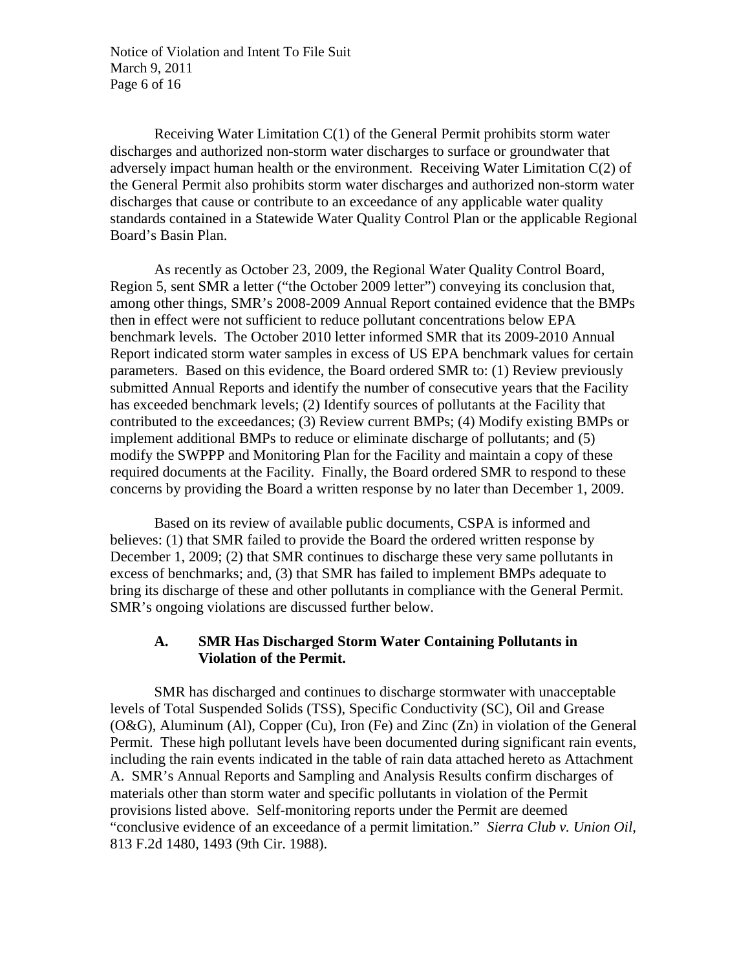Notice of Violation and Intent To File Suit March 9, 2011 Page 6 of 16

Receiving Water Limitation C(1) of the General Permit prohibits storm water discharges and authorized non-storm water discharges to surface or groundwater that adversely impact human health or the environment. Receiving Water Limitation C(2) of the General Permit also prohibits storm water discharges and authorized non-storm water discharges that cause or contribute to an exceedance of any applicable water quality standards contained in a Statewide Water Quality Control Plan or the applicable Regional Board's Basin Plan.

As recently as October 23, 2009, the Regional Water Quality Control Board, Region 5, sent SMR a letter ("the October 2009 letter") conveying its conclusion that, among other things, SMR's 2008-2009 Annual Report contained evidence that the BMPs then in effect were not sufficient to reduce pollutant concentrations below EPA benchmark levels. The October 2010 letter informed SMR that its 2009-2010 Annual Report indicated storm water samples in excess of US EPA benchmark values for certain parameters. Based on this evidence, the Board ordered SMR to: (1) Review previously submitted Annual Reports and identify the number of consecutive years that the Facility has exceeded benchmark levels; (2) Identify sources of pollutants at the Facility that contributed to the exceedances; (3) Review current BMPs; (4) Modify existing BMPs or implement additional BMPs to reduce or eliminate discharge of pollutants; and (5) modify the SWPPP and Monitoring Plan for the Facility and maintain a copy of these required documents at the Facility. Finally, the Board ordered SMR to respond to these concerns by providing the Board a written response by no later than December 1, 2009.

Based on its review of available public documents, CSPA is informed and believes: (1) that SMR failed to provide the Board the ordered written response by December 1, 2009; (2) that SMR continues to discharge these very same pollutants in excess of benchmarks; and, (3) that SMR has failed to implement BMPs adequate to bring its discharge of these and other pollutants in compliance with the General Permit. SMR's ongoing violations are discussed further below.

## **A. SMR Has Discharged Storm Water Containing Pollutants in Violation of the Permit.**

SMR has discharged and continues to discharge stormwater with unacceptable levels of Total Suspended Solids (TSS), Specific Conductivity (SC), Oil and Grease (O&G), Aluminum (Al), Copper (Cu), Iron (Fe) and Zinc (Zn) in violation of the General Permit. These high pollutant levels have been documented during significant rain events, including the rain events indicated in the table of rain data attached hereto as Attachment A. SMR's Annual Reports and Sampling and Analysis Results confirm discharges of materials other than storm water and specific pollutants in violation of the Permit provisions listed above. Self-monitoring reports under the Permit are deemed "conclusive evidence of an exceedance of a permit limitation." *Sierra Club v. Union Oil*, 813 F.2d 1480, 1493 (9th Cir. 1988).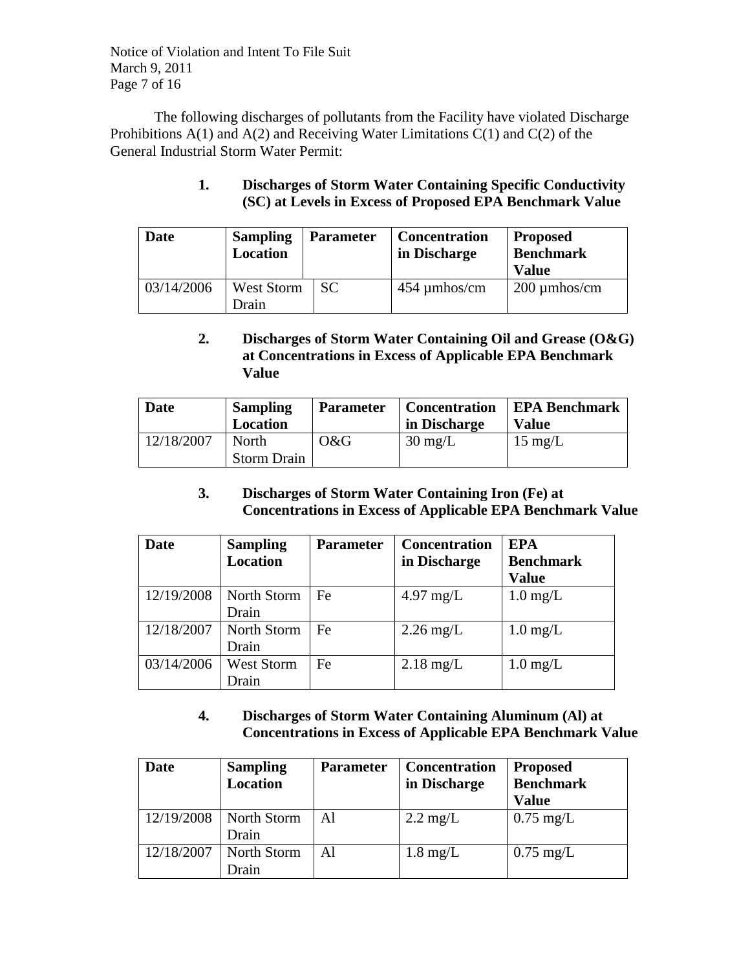Notice of Violation and Intent To File Suit March 9, 2011 Page 7 of 16

The following discharges of pollutants from the Facility have violated Discharge Prohibitions  $A(1)$  and  $A(2)$  and Receiving Water Limitations  $C(1)$  and  $C(2)$  of the General Industrial Storm Water Permit:

## **1. Discharges of Storm Water Containing Specific Conductivity (SC) at Levels in Excess of Proposed EPA Benchmark Value**

| <b>Date</b> | <b>Sampling</b><br><b>Location</b> | <b>Parameter</b> | <b>Concentration</b><br>in Discharge | <b>Proposed</b><br><b>Benchmark</b><br><b>Value</b> |
|-------------|------------------------------------|------------------|--------------------------------------|-----------------------------------------------------|
| 03/14/2006  | West Storm<br>Drain                | <b>SC</b>        | $454 \mu$ mhos/cm                    | $200 \mu$ mhos/cm                                   |

# **2. Discharges of Storm Water Containing Oil and Grease (O&G) at Concentrations in Excess of Applicable EPA Benchmark Value**

| Date       | <b>Sampling</b><br><b>Location</b> | <b>Parameter</b> | <b>Concentration</b><br>in Discharge | <b>EPA Benchmark</b><br>Value |
|------------|------------------------------------|------------------|--------------------------------------|-------------------------------|
| 12/18/2007 | North<br><b>Storm Drain</b>        | O&G              | $30 \text{ mg/L}$                    | $15 \text{ mg/L}$             |

## **3. Discharges of Storm Water Containing Iron (Fe) at Concentrations in Excess of Applicable EPA Benchmark Value**

| Date       | <b>Sampling</b><br><b>Location</b> | <b>Parameter</b> | <b>Concentration</b><br>in Discharge | <b>EPA</b><br><b>Benchmark</b><br><b>Value</b> |
|------------|------------------------------------|------------------|--------------------------------------|------------------------------------------------|
| 12/19/2008 | North Storm<br>Drain               | Fe               | $4.97 \text{ mg/L}$                  | $1.0 \text{ mg/L}$                             |
| 12/18/2007 | North Storm<br>Drain               | Fe               | $2.26 \text{ mg/L}$                  | $1.0 \text{ mg/L}$                             |
| 03/14/2006 | <b>West Storm</b><br>Drain         | Fe               | $2.18 \text{ mg/L}$                  | $1.0 \text{ mg/L}$                             |

# **4. Discharges of Storm Water Containing Aluminum (Al) at Concentrations in Excess of Applicable EPA Benchmark Value**

| Date       | <b>Sampling</b><br><b>Location</b> | <b>Parameter</b> | <b>Concentration</b><br>in Discharge | <b>Proposed</b><br><b>Benchmark</b><br><b>Value</b> |
|------------|------------------------------------|------------------|--------------------------------------|-----------------------------------------------------|
| 12/19/2008 | North Storm<br>Drain               | Al               | $2.2 \text{ mg/L}$                   | $0.75 \text{ mg/L}$                                 |
| 12/18/2007 | North Storm<br>Drain               | Al               | $1.8 \text{ mg/L}$                   | $0.75 \text{ mg/L}$                                 |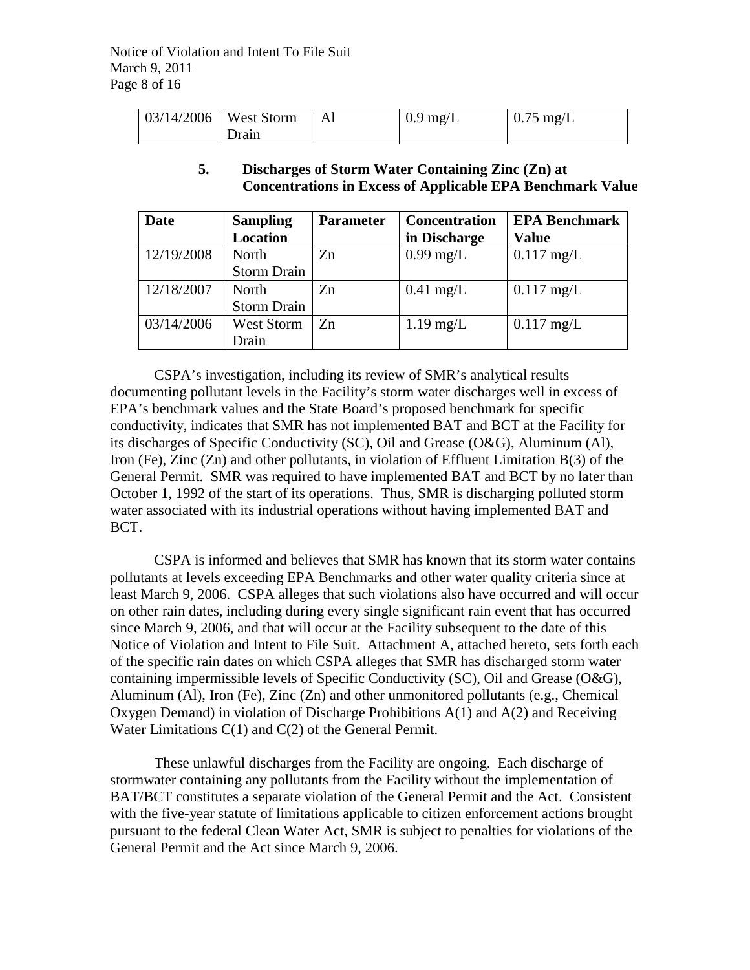| $\vert 03/14/2006 \vert$ West Storm |       | Al | $0.9 \text{ mg/L}$ | $0.75 \text{ mg/L}$ |
|-------------------------------------|-------|----|--------------------|---------------------|
|                                     | Drain |    |                    |                     |

### **5. Discharges of Storm Water Containing Zinc (Zn) at Concentrations in Excess of Applicable EPA Benchmark Value**

| Date       | <b>Sampling</b>    | <b>Parameter</b> | <b>Concentration</b> | <b>EPA Benchmark</b> |
|------------|--------------------|------------------|----------------------|----------------------|
|            | <b>Location</b>    |                  | in Discharge         | <b>Value</b>         |
| 12/19/2008 | <b>North</b>       | Z <sub>n</sub>   | $0.99$ mg/L          | $0.117$ mg/L         |
|            | <b>Storm Drain</b> |                  |                      |                      |
| 12/18/2007 | North              | Zn               | $0.41$ mg/L          | $0.117$ mg/L         |
|            | <b>Storm Drain</b> |                  |                      |                      |
| 03/14/2006 | <b>West Storm</b>  | Zn               | $1.19$ mg/L          | $0.117$ mg/L         |
|            | Drain              |                  |                      |                      |

CSPA's investigation, including its review of SMR's analytical results documenting pollutant levels in the Facility's storm water discharges well in excess of EPA's benchmark values and the State Board's proposed benchmark for specific conductivity, indicates that SMR has not implemented BAT and BCT at the Facility for its discharges of Specific Conductivity (SC), Oil and Grease (O&G), Aluminum (Al), Iron (Fe), Zinc (Zn) and other pollutants, in violation of Effluent Limitation B(3) of the General Permit. SMR was required to have implemented BAT and BCT by no later than October 1, 1992 of the start of its operations. Thus, SMR is discharging polluted storm water associated with its industrial operations without having implemented BAT and BCT.

CSPA is informed and believes that SMR has known that its storm water contains pollutants at levels exceeding EPA Benchmarks and other water quality criteria since at least March 9, 2006. CSPA alleges that such violations also have occurred and will occur on other rain dates, including during every single significant rain event that has occurred since March 9, 2006, and that will occur at the Facility subsequent to the date of this Notice of Violation and Intent to File Suit. Attachment A, attached hereto, sets forth each of the specific rain dates on which CSPA alleges that SMR has discharged storm water containing impermissible levels of Specific Conductivity (SC), Oil and Grease (O&G), Aluminum (Al), Iron (Fe), Zinc (Zn) and other unmonitored pollutants (e.g., Chemical Oxygen Demand) in violation of Discharge Prohibitions A(1) and A(2) and Receiving Water Limitations C(1) and C(2) of the General Permit.

These unlawful discharges from the Facility are ongoing. Each discharge of stormwater containing any pollutants from the Facility without the implementation of BAT/BCT constitutes a separate violation of the General Permit and the Act. Consistent with the five-year statute of limitations applicable to citizen enforcement actions brought pursuant to the federal Clean Water Act, SMR is subject to penalties for violations of the General Permit and the Act since March 9, 2006.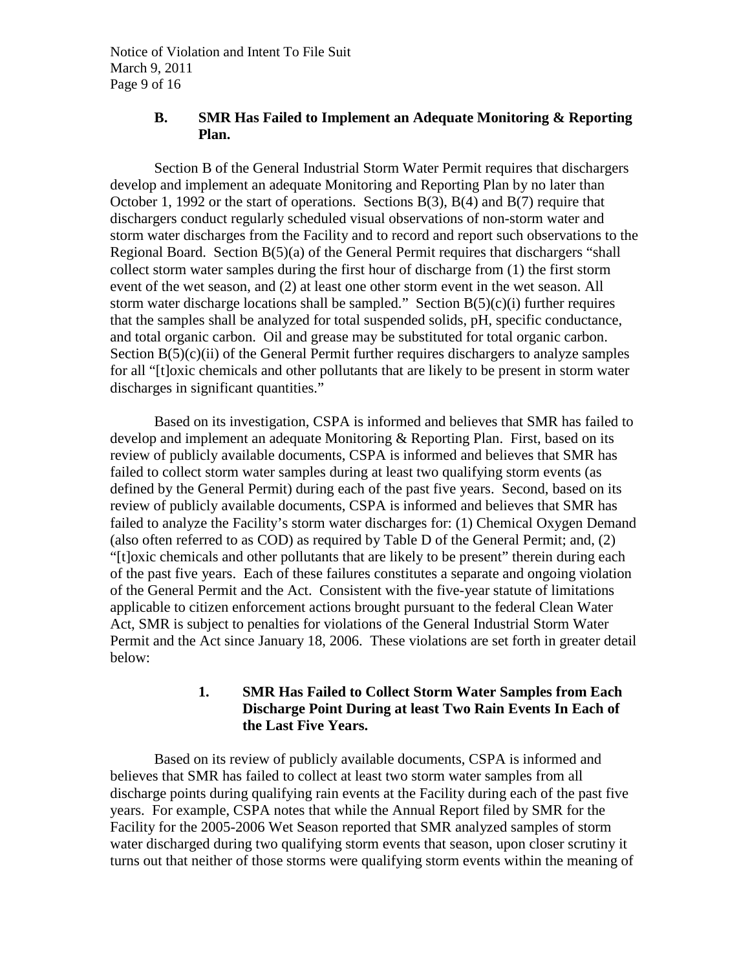Notice of Violation and Intent To File Suit March 9, 2011 Page 9 of 16

## **B. SMR Has Failed to Implement an Adequate Monitoring & Reporting Plan.**

Section B of the General Industrial Storm Water Permit requires that dischargers develop and implement an adequate Monitoring and Reporting Plan by no later than October 1, 1992 or the start of operations. Sections B(3), B(4) and B(7) require that dischargers conduct regularly scheduled visual observations of non-storm water and storm water discharges from the Facility and to record and report such observations to the Regional Board. Section  $B(5)(a)$  of the General Permit requires that dischargers "shall collect storm water samples during the first hour of discharge from (1) the first storm event of the wet season, and (2) at least one other storm event in the wet season. All storm water discharge locations shall be sampled." Section  $B(5)(c)(i)$  further requires that the samples shall be analyzed for total suspended solids, pH, specific conductance, and total organic carbon. Oil and grease may be substituted for total organic carbon. Section  $B(5)(c)(ii)$  of the General Permit further requires dischargers to analyze samples for all "[t]oxic chemicals and other pollutants that are likely to be present in storm water discharges in significant quantities."

Based on its investigation, CSPA is informed and believes that SMR has failed to develop and implement an adequate Monitoring & Reporting Plan. First, based on its review of publicly available documents, CSPA is informed and believes that SMR has failed to collect storm water samples during at least two qualifying storm events (as defined by the General Permit) during each of the past five years. Second, based on its review of publicly available documents, CSPA is informed and believes that SMR has failed to analyze the Facility's storm water discharges for: (1) Chemical Oxygen Demand (also often referred to as COD) as required by Table D of the General Permit; and, (2) "[t]oxic chemicals and other pollutants that are likely to be present" therein during each of the past five years. Each of these failures constitutes a separate and ongoing violation of the General Permit and the Act. Consistent with the five-year statute of limitations applicable to citizen enforcement actions brought pursuant to the federal Clean Water Act, SMR is subject to penalties for violations of the General Industrial Storm Water Permit and the Act since January 18, 2006. These violations are set forth in greater detail below:

## **1. SMR Has Failed to Collect Storm Water Samples from Each Discharge Point During at least Two Rain Events In Each of the Last Five Years.**

Based on its review of publicly available documents, CSPA is informed and believes that SMR has failed to collect at least two storm water samples from all discharge points during qualifying rain events at the Facility during each of the past five years. For example, CSPA notes that while the Annual Report filed by SMR for the Facility for the 2005-2006 Wet Season reported that SMR analyzed samples of storm water discharged during two qualifying storm events that season, upon closer scrutiny it turns out that neither of those storms were qualifying storm events within the meaning of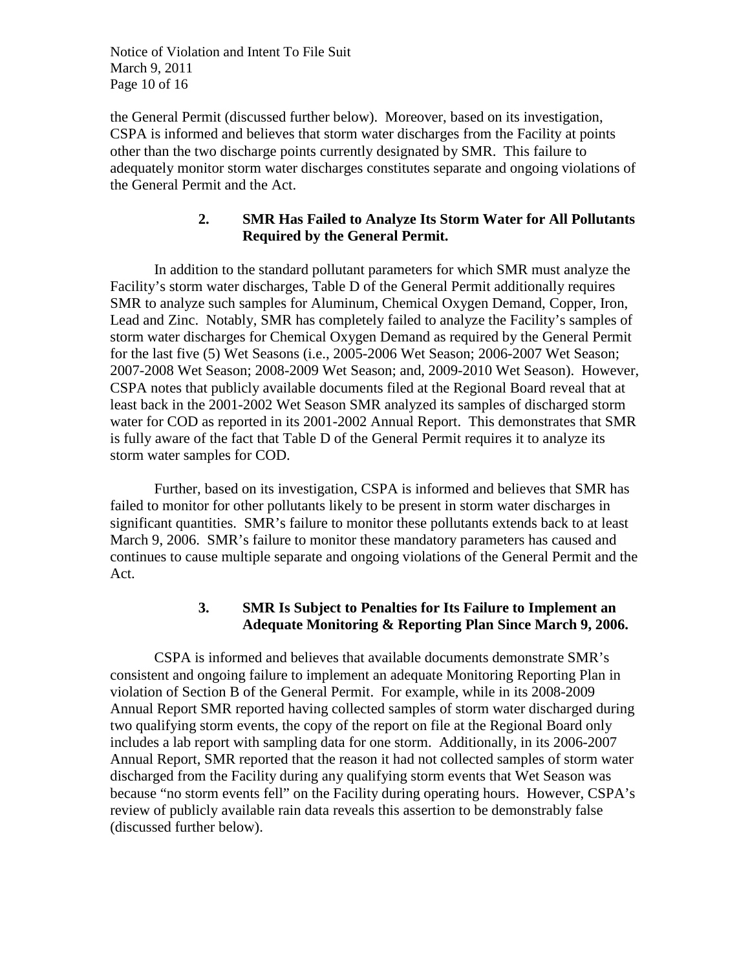Notice of Violation and Intent To File Suit March 9, 2011 Page 10 of 16

the General Permit (discussed further below). Moreover, based on its investigation, CSPA is informed and believes that storm water discharges from the Facility at points other than the two discharge points currently designated by SMR. This failure to adequately monitor storm water discharges constitutes separate and ongoing violations of the General Permit and the Act.

### **2. SMR Has Failed to Analyze Its Storm Water for All Pollutants Required by the General Permit.**

In addition to the standard pollutant parameters for which SMR must analyze the Facility's storm water discharges, Table D of the General Permit additionally requires SMR to analyze such samples for Aluminum, Chemical Oxygen Demand, Copper, Iron, Lead and Zinc. Notably, SMR has completely failed to analyze the Facility's samples of storm water discharges for Chemical Oxygen Demand as required by the General Permit for the last five (5) Wet Seasons (i.e., 2005-2006 Wet Season; 2006-2007 Wet Season; 2007-2008 Wet Season; 2008-2009 Wet Season; and, 2009-2010 Wet Season). However, CSPA notes that publicly available documents filed at the Regional Board reveal that at least back in the 2001-2002 Wet Season SMR analyzed its samples of discharged storm water for COD as reported in its 2001-2002 Annual Report. This demonstrates that SMR is fully aware of the fact that Table D of the General Permit requires it to analyze its storm water samples for COD.

Further, based on its investigation, CSPA is informed and believes that SMR has failed to monitor for other pollutants likely to be present in storm water discharges in significant quantities. SMR's failure to monitor these pollutants extends back to at least March 9, 2006. SMR's failure to monitor these mandatory parameters has caused and continues to cause multiple separate and ongoing violations of the General Permit and the Act.

## **3. SMR Is Subject to Penalties for Its Failure to Implement an Adequate Monitoring & Reporting Plan Since March 9, 2006.**

CSPA is informed and believes that available documents demonstrate SMR's consistent and ongoing failure to implement an adequate Monitoring Reporting Plan in violation of Section B of the General Permit. For example, while in its 2008-2009 Annual Report SMR reported having collected samples of storm water discharged during two qualifying storm events, the copy of the report on file at the Regional Board only includes a lab report with sampling data for one storm. Additionally, in its 2006-2007 Annual Report, SMR reported that the reason it had not collected samples of storm water discharged from the Facility during any qualifying storm events that Wet Season was because "no storm events fell" on the Facility during operating hours. However, CSPA's review of publicly available rain data reveals this assertion to be demonstrably false (discussed further below).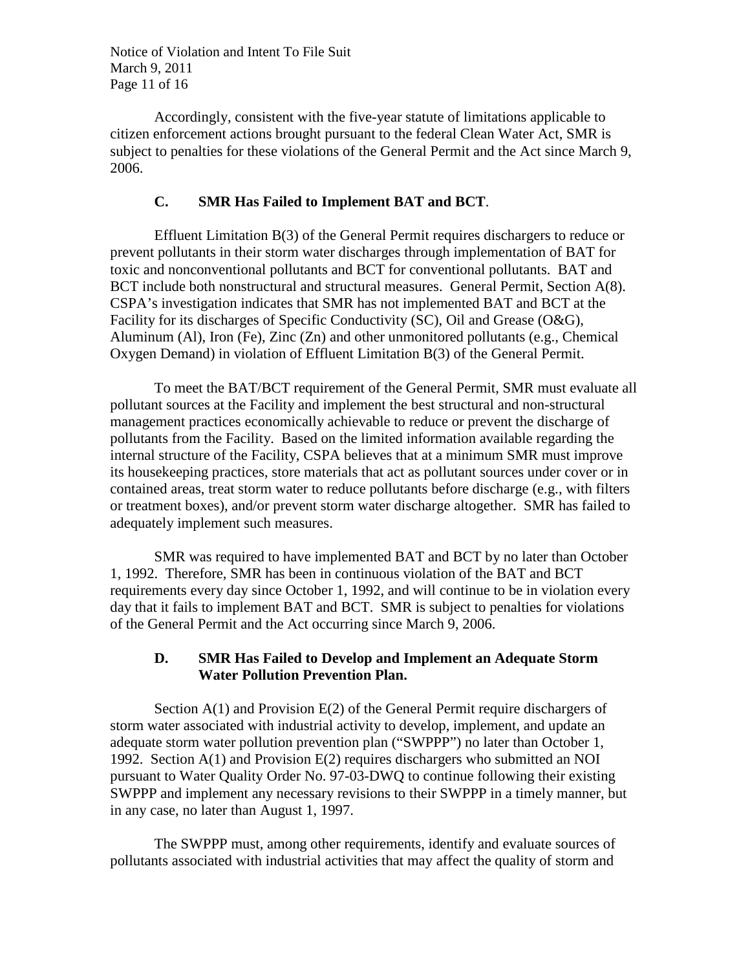Notice of Violation and Intent To File Suit March 9, 2011 Page 11 of 16

Accordingly, consistent with the five-year statute of limitations applicable to citizen enforcement actions brought pursuant to the federal Clean Water Act, SMR is subject to penalties for these violations of the General Permit and the Act since March 9, 2006.

### **C. SMR Has Failed to Implement BAT and BCT**.

Effluent Limitation B(3) of the General Permit requires dischargers to reduce or prevent pollutants in their storm water discharges through implementation of BAT for toxic and nonconventional pollutants and BCT for conventional pollutants. BAT and BCT include both nonstructural and structural measures. General Permit, Section A(8). CSPA's investigation indicates that SMR has not implemented BAT and BCT at the Facility for its discharges of Specific Conductivity (SC), Oil and Grease (O&G), Aluminum (Al), Iron (Fe), Zinc (Zn) and other unmonitored pollutants (e.g., Chemical Oxygen Demand) in violation of Effluent Limitation B(3) of the General Permit.

To meet the BAT/BCT requirement of the General Permit, SMR must evaluate all pollutant sources at the Facility and implement the best structural and non-structural management practices economically achievable to reduce or prevent the discharge of pollutants from the Facility. Based on the limited information available regarding the internal structure of the Facility, CSPA believes that at a minimum SMR must improve its housekeeping practices, store materials that act as pollutant sources under cover or in contained areas, treat storm water to reduce pollutants before discharge (e.g., with filters or treatment boxes), and/or prevent storm water discharge altogether. SMR has failed to adequately implement such measures.

SMR was required to have implemented BAT and BCT by no later than October 1, 1992. Therefore, SMR has been in continuous violation of the BAT and BCT requirements every day since October 1, 1992, and will continue to be in violation every day that it fails to implement BAT and BCT. SMR is subject to penalties for violations of the General Permit and the Act occurring since March 9, 2006.

### **D. SMR Has Failed to Develop and Implement an Adequate Storm Water Pollution Prevention Plan.**

Section A(1) and Provision E(2) of the General Permit require dischargers of storm water associated with industrial activity to develop, implement, and update an adequate storm water pollution prevention plan ("SWPPP") no later than October 1, 1992. Section A(1) and Provision E(2) requires dischargers who submitted an NOI pursuant to Water Quality Order No. 97-03-DWQ to continue following their existing SWPPP and implement any necessary revisions to their SWPPP in a timely manner, but in any case, no later than August 1, 1997.

The SWPPP must, among other requirements, identify and evaluate sources of pollutants associated with industrial activities that may affect the quality of storm and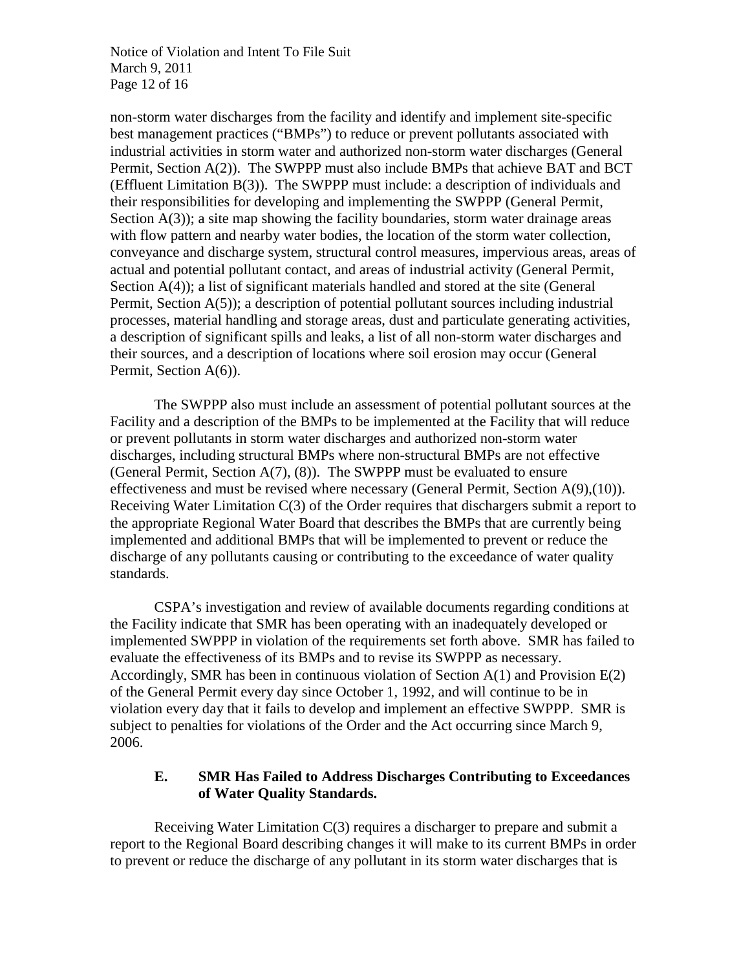Notice of Violation and Intent To File Suit March 9, 2011 Page 12 of 16

non-storm water discharges from the facility and identify and implement site-specific best management practices ("BMPs") to reduce or prevent pollutants associated with industrial activities in storm water and authorized non-storm water discharges (General Permit, Section A(2)). The SWPPP must also include BMPs that achieve BAT and BCT (Effluent Limitation B(3)). The SWPPP must include: a description of individuals and their responsibilities for developing and implementing the SWPPP (General Permit, Section  $A(3)$ ; a site map showing the facility boundaries, storm water drainage areas with flow pattern and nearby water bodies, the location of the storm water collection, conveyance and discharge system, structural control measures, impervious areas, areas of actual and potential pollutant contact, and areas of industrial activity (General Permit, Section A(4)); a list of significant materials handled and stored at the site (General Permit, Section A(5)); a description of potential pollutant sources including industrial processes, material handling and storage areas, dust and particulate generating activities, a description of significant spills and leaks, a list of all non-storm water discharges and their sources, and a description of locations where soil erosion may occur (General Permit, Section A(6)).

The SWPPP also must include an assessment of potential pollutant sources at the Facility and a description of the BMPs to be implemented at the Facility that will reduce or prevent pollutants in storm water discharges and authorized non-storm water discharges, including structural BMPs where non-structural BMPs are not effective (General Permit, Section  $A(7)$ , (8)). The SWPPP must be evaluated to ensure effectiveness and must be revised where necessary (General Permit, Section A(9),(10)). Receiving Water Limitation C(3) of the Order requires that dischargers submit a report to the appropriate Regional Water Board that describes the BMPs that are currently being implemented and additional BMPs that will be implemented to prevent or reduce the discharge of any pollutants causing or contributing to the exceedance of water quality standards.

CSPA's investigation and review of available documents regarding conditions at the Facility indicate that SMR has been operating with an inadequately developed or implemented SWPPP in violation of the requirements set forth above. SMR has failed to evaluate the effectiveness of its BMPs and to revise its SWPPP as necessary. Accordingly, SMR has been in continuous violation of Section A(1) and Provision E(2) of the General Permit every day since October 1, 1992, and will continue to be in violation every day that it fails to develop and implement an effective SWPPP. SMR is subject to penalties for violations of the Order and the Act occurring since March 9, 2006.

## **E. SMR Has Failed to Address Discharges Contributing to Exceedances of Water Quality Standards.**

Receiving Water Limitation  $C(3)$  requires a discharger to prepare and submit a report to the Regional Board describing changes it will make to its current BMPs in order to prevent or reduce the discharge of any pollutant in its storm water discharges that is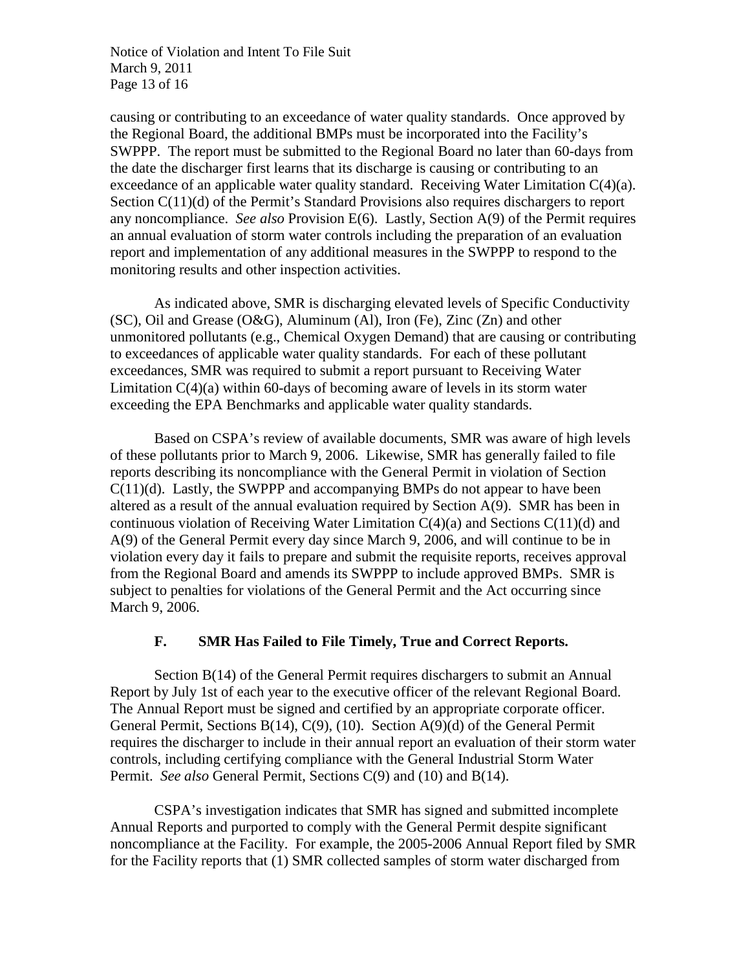Notice of Violation and Intent To File Suit March 9, 2011 Page 13 of 16

causing or contributing to an exceedance of water quality standards. Once approved by the Regional Board, the additional BMPs must be incorporated into the Facility's SWPPP. The report must be submitted to the Regional Board no later than 60-days from the date the discharger first learns that its discharge is causing or contributing to an exceedance of an applicable water quality standard. Receiving Water Limitation C(4)(a). Section C(11)(d) of the Permit's Standard Provisions also requires dischargers to report any noncompliance. *See also* Provision E(6). Lastly, Section A(9) of the Permit requires an annual evaluation of storm water controls including the preparation of an evaluation report and implementation of any additional measures in the SWPPP to respond to the monitoring results and other inspection activities.

As indicated above, SMR is discharging elevated levels of Specific Conductivity (SC), Oil and Grease (O&G), Aluminum (Al), Iron (Fe), Zinc (Zn) and other unmonitored pollutants (e.g., Chemical Oxygen Demand) that are causing or contributing to exceedances of applicable water quality standards. For each of these pollutant exceedances, SMR was required to submit a report pursuant to Receiving Water Limitation  $C(4)(a)$  within 60-days of becoming aware of levels in its storm water exceeding the EPA Benchmarks and applicable water quality standards.

Based on CSPA's review of available documents, SMR was aware of high levels of these pollutants prior to March 9, 2006. Likewise, SMR has generally failed to file reports describing its noncompliance with the General Permit in violation of Section  $C(11)(d)$ . Lastly, the SWPPP and accompanying BMPs do not appear to have been altered as a result of the annual evaluation required by Section A(9). SMR has been in continuous violation of Receiving Water Limitation  $C(4)(a)$  and Sections  $C(11)(d)$  and A(9) of the General Permit every day since March 9, 2006, and will continue to be in violation every day it fails to prepare and submit the requisite reports, receives approval from the Regional Board and amends its SWPPP to include approved BMPs. SMR is subject to penalties for violations of the General Permit and the Act occurring since March 9, 2006.

### **F. SMR Has Failed to File Timely, True and Correct Reports.**

Section B(14) of the General Permit requires dischargers to submit an Annual Report by July 1st of each year to the executive officer of the relevant Regional Board. The Annual Report must be signed and certified by an appropriate corporate officer. General Permit, Sections B(14), C(9), (10). Section A(9)(d) of the General Permit requires the discharger to include in their annual report an evaluation of their storm water controls, including certifying compliance with the General Industrial Storm Water Permit. *See also* General Permit, Sections C(9) and (10) and B(14).

CSPA's investigation indicates that SMR has signed and submitted incomplete Annual Reports and purported to comply with the General Permit despite significant noncompliance at the Facility. For example, the 2005-2006 Annual Report filed by SMR for the Facility reports that (1) SMR collected samples of storm water discharged from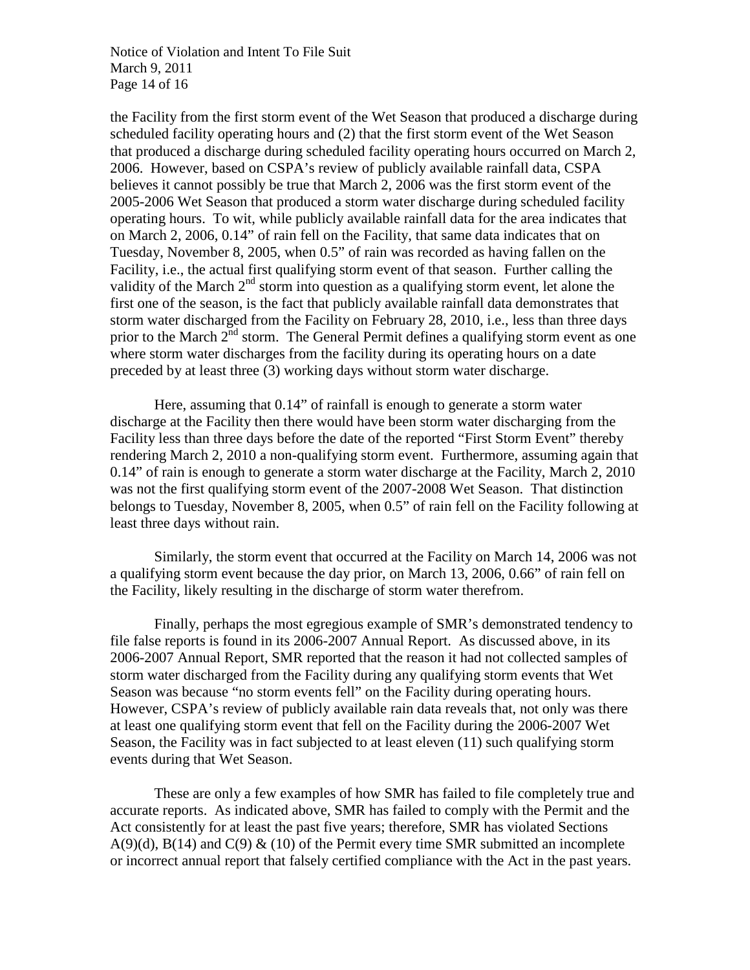Notice of Violation and Intent To File Suit March 9, 2011 Page 14 of 16

the Facility from the first storm event of the Wet Season that produced a discharge during scheduled facility operating hours and (2) that the first storm event of the Wet Season that produced a discharge during scheduled facility operating hours occurred on March 2, 2006. However, based on CSPA's review of publicly available rainfall data, CSPA believes it cannot possibly be true that March 2, 2006 was the first storm event of the 2005-2006 Wet Season that produced a storm water discharge during scheduled facility operating hours. To wit, while publicly available rainfall data for the area indicates that on March 2, 2006, 0.14" of rain fell on the Facility, that same data indicates that on Tuesday, November 8, 2005, when 0.5" of rain was recorded as having fallen on the Facility, i.e., the actual first qualifying storm event of that season. Further calling the validity of the March  $2<sup>nd</sup>$  storm into question as a qualifying storm event, let alone the first one of the season, is the fact that publicly available rainfall data demonstrates that storm water discharged from the Facility on February 28, 2010, i.e., less than three days prior to the March  $2<sup>nd</sup>$  storm. The General Permit defines a qualifying storm event as one where storm water discharges from the facility during its operating hours on a date preceded by at least three (3) working days without storm water discharge.

Here, assuming that 0.14" of rainfall is enough to generate a storm water discharge at the Facility then there would have been storm water discharging from the Facility less than three days before the date of the reported "First Storm Event" thereby rendering March 2, 2010 a non-qualifying storm event. Furthermore, assuming again that 0.14" of rain is enough to generate a storm water discharge at the Facility, March 2, 2010 was not the first qualifying storm event of the 2007-2008 Wet Season. That distinction belongs to Tuesday, November 8, 2005, when 0.5" of rain fell on the Facility following at least three days without rain.

Similarly, the storm event that occurred at the Facility on March 14, 2006 was not a qualifying storm event because the day prior, on March 13, 2006, 0.66" of rain fell on the Facility, likely resulting in the discharge of storm water therefrom.

Finally, perhaps the most egregious example of SMR's demonstrated tendency to file false reports is found in its 2006-2007 Annual Report. As discussed above, in its 2006-2007 Annual Report, SMR reported that the reason it had not collected samples of storm water discharged from the Facility during any qualifying storm events that Wet Season was because "no storm events fell" on the Facility during operating hours. However, CSPA's review of publicly available rain data reveals that, not only was there at least one qualifying storm event that fell on the Facility during the 2006-2007 Wet Season, the Facility was in fact subjected to at least eleven (11) such qualifying storm events during that Wet Season.

These are only a few examples of how SMR has failed to file completely true and accurate reports. As indicated above, SMR has failed to comply with the Permit and the Act consistently for at least the past five years; therefore, SMR has violated Sections  $A(9)(d)$ ,  $B(14)$  and  $C(9)$  & (10) of the Permit every time SMR submitted an incomplete or incorrect annual report that falsely certified compliance with the Act in the past years.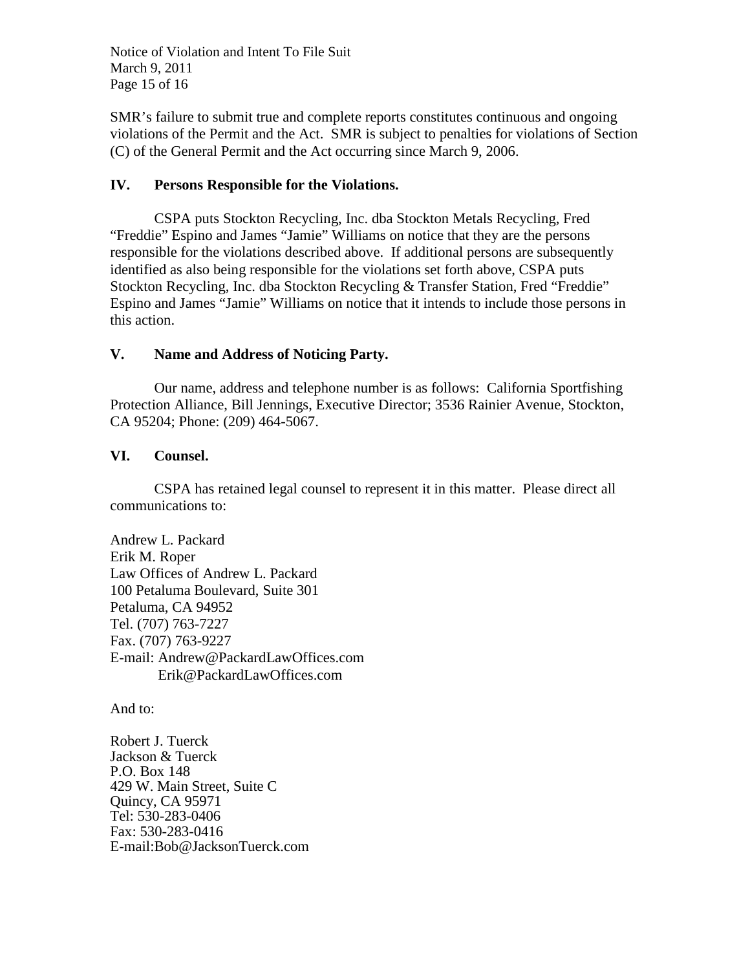Notice of Violation and Intent To File Suit March 9, 2011 Page 15 of 16

SMR's failure to submit true and complete reports constitutes continuous and ongoing violations of the Permit and the Act. SMR is subject to penalties for violations of Section (C) of the General Permit and the Act occurring since March 9, 2006.

## **IV. Persons Responsible for the Violations.**

CSPA puts Stockton Recycling, Inc. dba Stockton Metals Recycling, Fred "Freddie" Espino and James "Jamie" Williams on notice that they are the persons responsible for the violations described above. If additional persons are subsequently identified as also being responsible for the violations set forth above, CSPA puts Stockton Recycling, Inc. dba Stockton Recycling & Transfer Station, Fred "Freddie" Espino and James "Jamie" Williams on notice that it intends to include those persons in this action.

## **V. Name and Address of Noticing Party.**

Our name, address and telephone number is as follows: California Sportfishing Protection Alliance, Bill Jennings, Executive Director; 3536 Rainier Avenue, Stockton, CA 95204; Phone: (209) 464-5067.

## **VI. Counsel.**

CSPA has retained legal counsel to represent it in this matter. Please direct all communications to:

Andrew L. Packard Erik M. Roper Law Offices of Andrew L. Packard 100 Petaluma Boulevard, Suite 301 Petaluma, CA 94952 Tel. (707) 763-7227 Fax. (707) 763-9227 E-mail: Andrew@PackardLawOffices.com Erik@PackardLawOffices.com

And to:

Robert J. Tuerck Jackson & Tuerck P.O. Box 148 429 W. Main Street, Suite C Quincy, CA 95971 Tel: 530-283-0406 Fax: 530-283-0416 E-mail:Bob@JacksonTuerck.com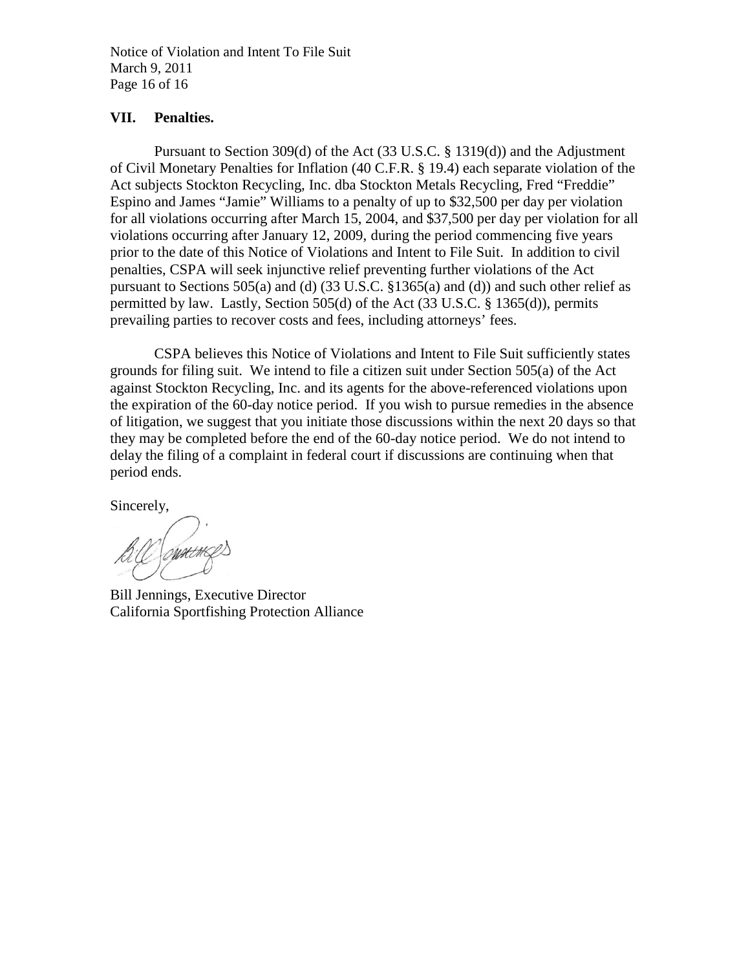Notice of Violation and Intent To File Suit March 9, 2011 Page 16 of 16

### **VII. Penalties.**

Pursuant to Section 309(d) of the Act (33 U.S.C. § 1319(d)) and the Adjustment of Civil Monetary Penalties for Inflation (40 C.F.R. § 19.4) each separate violation of the Act subjects Stockton Recycling, Inc. dba Stockton Metals Recycling, Fred "Freddie" Espino and James "Jamie" Williams to a penalty of up to \$32,500 per day per violation for all violations occurring after March 15, 2004, and \$37,500 per day per violation for all violations occurring after January 12, 2009, during the period commencing five years prior to the date of this Notice of Violations and Intent to File Suit. In addition to civil penalties, CSPA will seek injunctive relief preventing further violations of the Act pursuant to Sections 505(a) and (d) (33 U.S.C. §1365(a) and (d)) and such other relief as permitted by law. Lastly, Section 505(d) of the Act (33 U.S.C. § 1365(d)), permits prevailing parties to recover costs and fees, including attorneys' fees.

CSPA believes this Notice of Violations and Intent to File Suit sufficiently states grounds for filing suit. We intend to file a citizen suit under Section 505(a) of the Act against Stockton Recycling, Inc. and its agents for the above-referenced violations upon the expiration of the 60-day notice period. If you wish to pursue remedies in the absence of litigation, we suggest that you initiate those discussions within the next 20 days so that they may be completed before the end of the 60-day notice period. We do not intend to delay the filing of a complaint in federal court if discussions are continuing when that period ends.

Sincerely,

Bill Jennings, Executive Director California Sportfishing Protection Alliance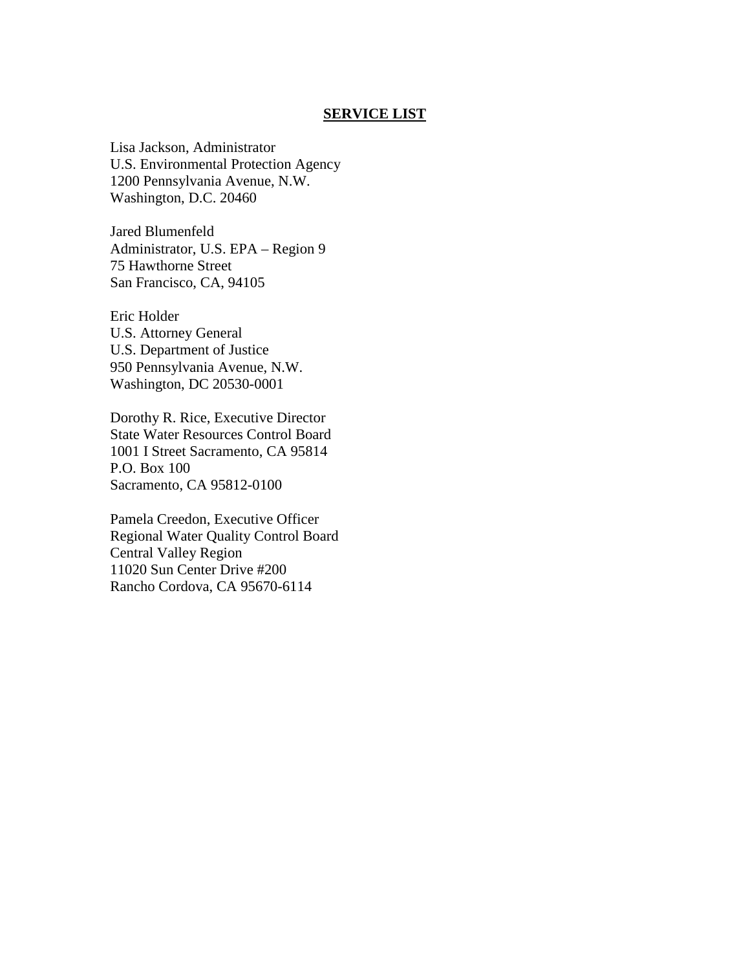#### **SERVICE LIST**

Lisa Jackson, Administrator U.S. Environmental Protection Agency 1200 Pennsylvania Avenue, N.W. Washington, D.C. 20460

Jared Blumenfeld Administrator, U.S. EPA – Region 9 75 Hawthorne Street San Francisco, CA, 94105

Eric Holder U.S. Attorney General U.S. Department of Justice 950 Pennsylvania Avenue, N.W. Washington, DC 20530-0001

Dorothy R. Rice, Executive Director State Water Resources Control Board 1001 I Street Sacramento, CA 95814 P.O. Box 100 Sacramento, CA 95812-0100

Pamela Creedon, Executive Officer Regional Water Quality Control Board Central Valley Region 11020 Sun Center Drive #200 Rancho Cordova, CA 95670-6114